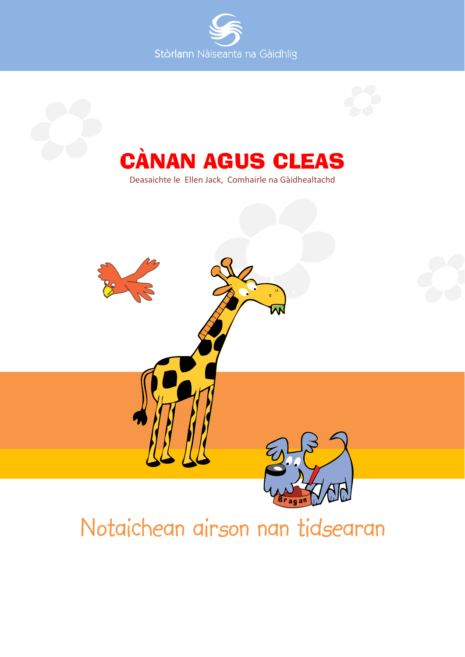



# Notaichean airson nan tidsearan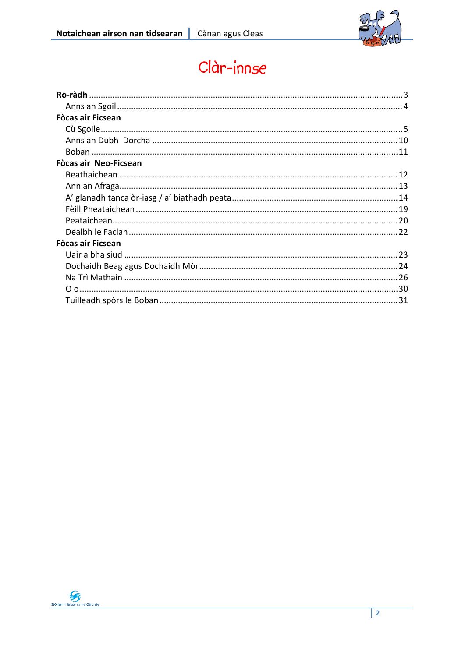

## Clàr-innse

| <b>Fòcas air Ficsean</b> |  |
|--------------------------|--|
|                          |  |
|                          |  |
|                          |  |
| Fòcas air Neo-Ficsean    |  |
|                          |  |
|                          |  |
|                          |  |
|                          |  |
|                          |  |
|                          |  |
| Fòcas air Ficsean        |  |
|                          |  |
|                          |  |
|                          |  |
|                          |  |
|                          |  |

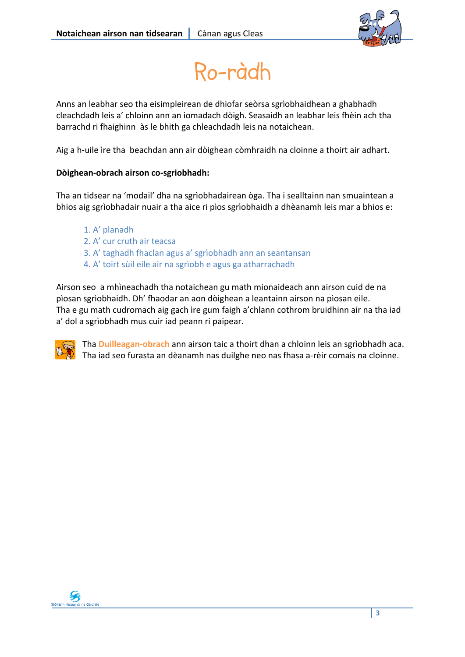

Ro-ràdh

Anns an leabhar seo tha eisimpleirean de dhiofar seòrsa sgrìobhaidhean a ghabhadh cleachdadh leis a' chloinn ann an iomadach dòigh. Seasaidh an leabhar leis fhèin ach tha barrachd ri fhaighinn às le bhith ga chleachdadh leis na notaichean.

Aig a h-uile ìre tha beachdan ann air dòighean còmhraidh na cloinne a thoirt air adhart.

### **Dòighean‐obrach airson co‐sgriobhadh:**

Tha an tidsear na 'modail' dha na sgrìobhadairean òga. Tha i sealltainn nan smuaintean a bhios aig sgrìobhadair nuair a tha aice ri pìos sgrìobhaidh a dhèanamh leis mar a bhios e:

- 1. A' planadh
- 2. A' cur cruth air teacsa
- 3. A' taghadh fhaclan agus a' sgrìobhadh ann an seantansan
- 4. A' toirt sùil eile air na sgrìobh e agus ga atharrachadh

Airson seo a mhìneachadh tha notaichean gu math mionaideach ann airson cuid de na pìosan sgrìobhaidh. Dh' fhaodar an aon dòighean a leantainn airson na pìosan eile. Tha e gu math cudromach aig gach ìre gum faigh a'chlann cothrom bruidhinn air na tha iad a' dol a sgrìobhadh mus cuir iad peann ri paipear.



Tha **Duilleagan‐obrach** ann airson taic a thoirt dhan a chloinn leis an sgrìobhadh aca. Tha iad seo furasta an dèanamh nas duilghe neo nas fhasa a‐rèir comais na cloinne.

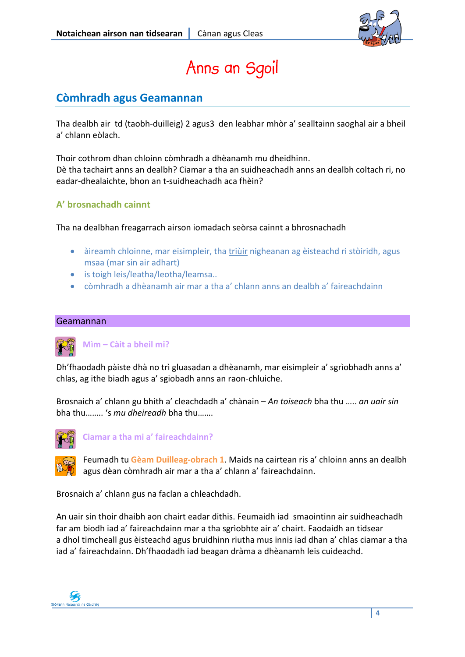

## Anns an Sgoil

### **Còmhradh agus Geamannan**

Tha dealbh air td (taobh‐duilleig) 2 agus3 den leabhar mhòr a' sealltainn saoghal air a bheil a' chlann eòlach.

Thoir cothrom dhan chloinn còmhradh a dhèanamh mu dheidhinn. Dè tha tachairt anns an dealbh? Ciamar a tha an suidheachadh anns an dealbh coltach ri, no eadar‐dhealaichte, bhon an t‐suidheachadh aca fhèin?

### **A' brosnachadh cainnt**

Tha na dealbhan freagarrach airson iomadach seòrsa cainnt a bhrosnachadh

- àireamh chloinne, mar eisimpleir, tha triùir nigheanan ag èisteachd ri stòiridh, agus msaa (mar sin air adhart)
- is toigh leis/leatha/leotha/leamsa..
- còmhradh a dhèanamh air mar a tha a' chlann anns an dealbh a' faireachdainn

### Geamannan



### **Mìm – Càit a bheil mi?**

Dh'fhaodadh pàiste dhà no trì gluasadan a dhèanamh, mar eisimpleir a' sgrìobhadh anns a' chlas, ag ithe biadh agus a' sgiobadh anns an raon‐chluiche.

Brosnaich a' chlann gu bhith a' cleachdadh a' chànain – *An toiseach* bha thu ….. *an uair sin* bha thu…….. 's *mu dheireadh* bha thu…….



**Ciamar a tha mi a' faireachdainn?**

Feumadh tu **Gèam Duilleag‐obrach 1**. Maids na cairtean ris a' chloinn anns an dealbh agus dèan còmhradh air mar a tha a' chlann a' faireachdainn.

Brosnaich a' chlann gus na faclan a chleachdadh.

An uair sin thoir dhaibh aon chairt eadar dithis. Feumaidh iad smaointinn air suidheachadh far am biodh iad a' faireachdainn mar a tha sgrìobhte air a' chairt. Faodaidh an tidsear a dhol timcheall gus èisteachd agus bruidhinn riutha mus innis iad dhan a' chlas ciamar a tha iad a' faireachdainn. Dh'fhaodadh iad beagan dràma a dhèanamh leis cuideachd.

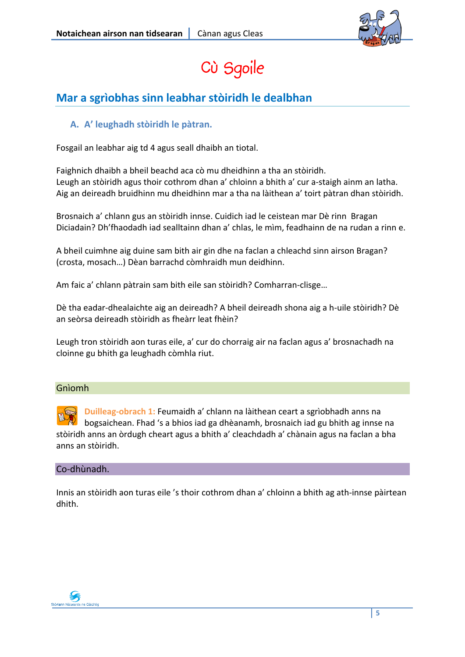

## Cù Sgoile

### **Mar a sgrìobhas sinn leabhar stòiridh le dealbhan**

### **A. A' leughadh stòiridh le pàtran.**

Fosgail an leabhar aig td 4 agus seall dhaibh an tiotal.

Faighnich dhaibh a bheil beachd aca cò mu dheidhinn a tha an stòiridh. Leugh an stòiridh agus thoir cothrom dhan a' chloinn a bhith a' cur a‐staigh ainm an latha. Aig an deireadh bruidhinn mu dheidhinn mar a tha na làithean a' toirt pàtran dhan stòiridh.

Brosnaich a' chlann gus an stòiridh innse. Cuidich iad le ceistean mar Dè rinn Bragan Diciadain? Dh'fhaodadh iad sealltainn dhan a' chlas, le mìm, feadhainn de na rudan a rinn e.

A bheil cuimhne aig duine sam bith air gin dhe na faclan a chleachd sinn airson Bragan? (crosta, mosach…) Dèan barrachd còmhraidh mun deidhinn.

Am faic a' chlann pàtrain sam bith eile san stòiridh? Comharran‐clisge…

Dè tha eadar‐dhealaichte aig an deireadh? A bheil deireadh shona aig a h‐uile stòiridh? Dè an seòrsa deireadh stòiridh as fheàrr leat fhèin?

Leugh tron stòiridh aon turas eile, a' cur do chorraig air na faclan agus a' brosnachadh na cloinne gu bhith ga leughadh còmhla riut.

### Gnìomh

**Duilleag‐obrach 1:** Feumaidh a' chlann na làithean ceart a sgrìobhadh anns na bogsaichean. Fhad 's a bhios iad ga dhèanamh, brosnaich iad gu bhith ag innse na stòiridh anns an òrdugh cheart agus a bhith a' cleachdadh a' chànain agus na faclan a bha anns an stòiridh.

### Co‐dhùnadh.

Innis an stòiridh aon turas eile 's thoir cothrom dhan a' chloinn a bhith ag ath‐innse pàirtean dhith.

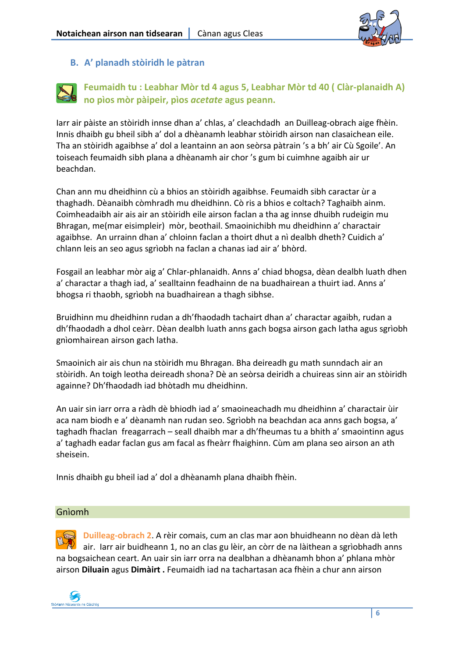

### **B. A' planadh stòiridh le pàtran**

### **Feumaidh tu : Leabhar Mòr td 4 agus 5, Leabhar Mòr td 40 ( Clàr‐planaidh A) no pìos mòr pàipeir, pìos** *acetate* **agus peann.**

Iarr air pàiste an stòiridh innse dhan a' chlas, a' cleachdadh an Duilleag‐obrach aige fhèin. Innis dhaibh gu bheil sibh a' dol a dhèanamh leabhar stòiridh airson nan clasaichean eile. Tha an stòiridh agaibhse a' dol a leantainn an aon seòrsa pàtrain 's a bh' air Cù Sgoile'. An toiseach feumaidh sibh plana a dhèanamh air chor 's gum bi cuimhne agaibh air ur beachdan.

Chan ann mu dheidhinn cù a bhios an stòiridh agaibhse. Feumaidh sibh caractar ùr a thaghadh. Dèanaibh còmhradh mu dheidhinn. Cò ris a bhios e coltach? Taghaibh ainm. Coimheadaibh air ais air an stòiridh eile airson faclan a tha ag innse dhuibh rudeigin mu Bhragan, me(mar eisimpleir) mòr, beothail. Smaoinichibh mu dheidhinn a' charactair agaibhse. An urrainn dhan a' chloinn faclan a thoirt dhut a nì dealbh dheth? Cuidich a' chlann leis an seo agus sgrìobh na faclan a chanas iad air a' bhòrd.

Fosgail an leabhar mòr aig a' Chlar‐phlanaidh. Anns a' chiad bhogsa, dèan dealbh luath dhen a' charactar a thagh iad, a' sealltainn feadhainn de na buadhairean a thuirt iad. Anns a' bhogsa ri thaobh, sgrìobh na buadhairean a thagh sibhse.

Bruidhinn mu dheidhinn rudan a dh'fhaodadh tachairt dhan a' charactar agaibh, rudan a dh'fhaodadh a dhol ceàrr. Dèan dealbh luath anns gach bogsa airson gach latha agus sgrìobh gnìomhairean airson gach latha.

Smaoinich air ais chun na stòiridh mu Bhragan. Bha deireadh gu math sunndach air an stòiridh. An toigh leotha deireadh shona? Dè an seòrsa deiridh a chuireas sinn air an stòiridh againne? Dh'fhaodadh iad bhòtadh mu dheidhinn.

An uair sin iarr orra a ràdh dè bhiodh iad a' smaoineachadh mu dheidhinn a' charactair ùir aca nam biodh e a' dèanamh nan rudan seo. Sgrìobh na beachdan aca anns gach bogsa, a' taghadh fhaclan freagarrach – seall dhaibh mar a dh'fheumas tu a bhith a' smaointinn agus a' taghadh eadar faclan gus am facal as fheàrr fhaighinn. Cùm am plana seo airson an ath sheisein.

Innis dhaibh gu bheil iad a' dol a dhèanamh plana dhaibh fhèin.

### Gnìomh

**Duilleag‐obrach 2**. A rèir comais, cum an clas mar aon bhuidheann no dèan dà leth air. Iarr air buidheann 1, no an clas gu lèir, an còrr de na làithean a sgrìobhadh anns na bogsaichean ceart. An uair sin iarr orra na dealbhan a dhèanamh bhon a' phlana mhòr airson **Diluain** agus **Dimàirt .** Feumaidh iad na tachartasan aca fhèin a chur ann airson

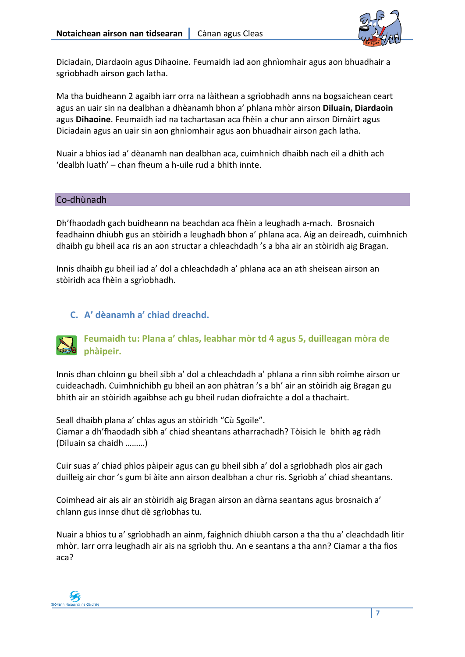

Diciadain, Diardaoin agus Dihaoine. Feumaidh iad aon ghnìomhair agus aon bhuadhair a sgrìobhadh airson gach latha.

Ma tha buidheann 2 agaibh iarr orra na làithean a sgrìobhadh anns na bogsaichean ceart agus an uair sin na dealbhan a dhèanamh bhon a' phlana mhòr airson **Diluain, Diardaoin** agus **Dihaoine**. Feumaidh iad na tachartasan aca fhèin a chur ann airson Dimàirt agus Diciadain agus an uair sin aon ghnìomhair agus aon bhuadhair airson gach latha.

Nuair a bhios iad a' dèanamh nan dealbhan aca, cuimhnich dhaibh nach eil a dhìth ach 'dealbh luath' – chan fheum a h‐uile rud a bhith innte.

### Co‐dhùnadh

Dh'fhaodadh gach buidheann na beachdan aca fhèin a leughadh a‐mach. Brosnaich feadhainn dhiubh gus an stòiridh a leughadh bhon a' phlana aca. Aig an deireadh, cuimhnich dhaibh gu bheil aca ris an aon structar a chleachdadh 's a bha air an stòiridh aig Bragan.

Innis dhaibh gu bheil iad a' dol a chleachdadh a' phlana aca an ath sheisean airson an stòiridh aca fhèin a sgrìobhadh.

### **C. A' dèanamh a' chiad dreachd.**

### **Feumaidh tu: Plana a' chlas, leabhar mòr td 4 agus 5, duilleagan mòra de phàipeir.**

Innis dhan chloinn gu bheil sibh a' dol a chleachdadh a' phlana a rinn sibh roimhe airson ur cuideachadh. Cuimhnichibh gu bheil an aon phàtran 's a bh' air an stòiridh aig Bragan gu bhith air an stòiridh agaibhse ach gu bheil rudan diofraichte a dol a thachairt.

Seall dhaibh plana a' chlas agus an stòiridh "Cù Sgoile". Ciamar a dh'fhaodadh sibh a' chiad sheantans atharrachadh? Tòisich le bhith ag ràdh (Diluain sa chaidh ………)

Cuir suas a' chiad phìos pàipeir agus can gu bheil sibh a' dol a sgrìobhadh pìos air gach duilleig air chor 's gum bi àite ann airson dealbhan a chur ris. Sgrìobh a' chiad sheantans.

Coimhead air ais air an stòiridh aig Bragan airson an dàrna seantans agus brosnaich a' chlann gus innse dhut dè sgrìobhas tu.

Nuair a bhios tu a' sgrìobhadh an ainm, faighnich dhiubh carson a tha thu a' cleachdadh litir mhòr. Iarr orra leughadh air ais na sgrìobh thu. An e seantans a tha ann? Ciamar a tha fios aca?

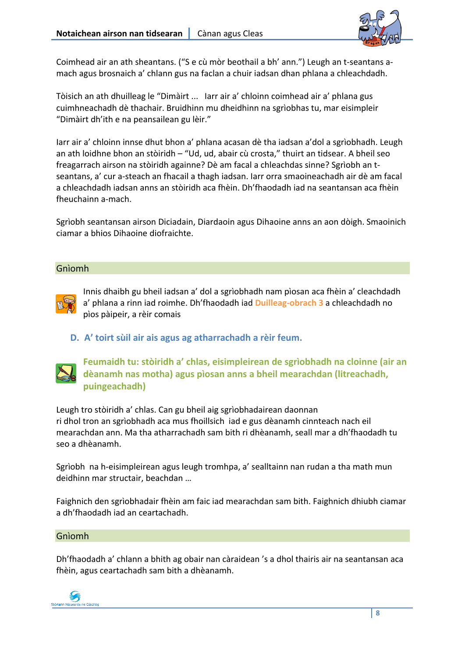

Coimhead air an ath sheantans. ("S e cù mòr beothail a bh' ann.") Leugh an t‐seantans a‐ mach agus brosnaich a' chlann gus na faclan a chuir iadsan dhan phlana a chleachdadh.

Tòisich an ath dhuilleag le "Dimàirt ... Iarr air a' chloinn coimhead air a' phlana gus cuimhneachadh dè thachair. Bruidhinn mu dheidhinn na sgrìobhas tu, mar eisimpleir "Dimàirt dh'ith e na peansailean gu lèir."

Iarr air a' chloinn innse dhut bhon a' phlana acasan dè tha iadsan a'dol a sgrìobhadh. Leugh an ath loidhne bhon an stòiridh – "Ud, ud, abair cù crosta," thuirt an tidsear. A bheil seo freagarrach airson na stòiridh againne? Dè am facal a chleachdas sinne? Sgrìobh an t‐ seantans, a' cur a‐steach an fhacail a thagh iadsan. Iarr orra smaoineachadh air dè am facal a chleachdadh iadsan anns an stòiridh aca fhèin. Dh'fhaodadh iad na seantansan aca fhèin fheuchainn a‐mach.

Sgrìobh seantansan airson Diciadain, Diardaoin agus Dihaoine anns an aon dòigh. Smaoinich ciamar a bhios Dihaoine diofraichte.

### Gnìomh



Innis dhaibh gu bheil iadsan a' dol a sgrìobhadh nam pìosan aca fhèin a' cleachdadh a' phlana a rinn iad roimhe. Dh'fhaodadh iad **Duilleag‐obrach 3** a chleachdadh no pìos pàipeir, a rèir comais

**D. A' toirt sùil air ais agus ag atharrachadh a rèir feum.**



**Feumaidh tu: stòiridh a' chlas, eisimpleirean de sgrìobhadh na cloinne (air an dèanamh nas motha) agus pìosan anns a bheil mearachdan (litreachadh, puingeachadh)**

Leugh tro stòiridh a' chlas. Can gu bheil aig sgrìobhadairean daonnan ri dhol tron an sgrìobhadh aca mus fhoillsich iad e gus dèanamh cinnteach nach eil mearachdan ann. Ma tha atharrachadh sam bith ri dhèanamh, seall mar a dh'fhaodadh tu seo a dhèanamh.

Sgrìobh na h-eisimpleirean agus leugh tromhpa, a' sealltainn nan rudan a tha math mun deidhinn mar structair, beachdan …

Faighnich den sgrìobhadair fhèin am faic iad mearachdan sam bith. Faighnich dhiubh ciamar a dh'fhaodadh iad an ceartachadh.

#### Gnìomh

Dh'fhaodadh a' chlann a bhith ag obair nan càraidean 's a dhol thairis air na seantansan aca fhèin, agus ceartachadh sam bith a dhèanamh.

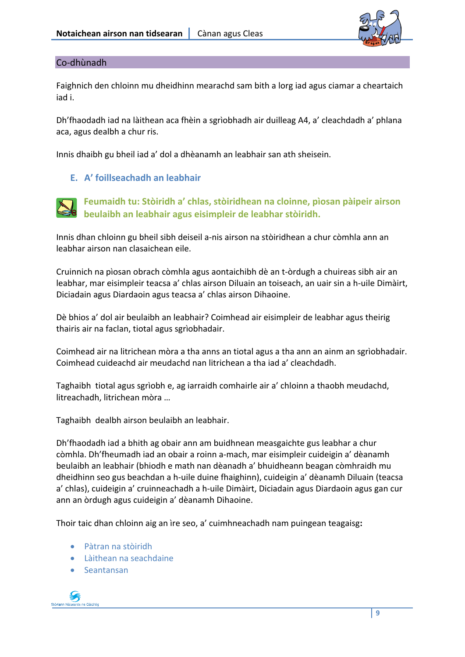

### Co‐dhùnadh

Faighnich den chloinn mu dheidhinn mearachd sam bith a lorg iad agus ciamar a cheartaich iad i.

Dh'fhaodadh iad na làithean aca fhèin a sgrìobhadh air duilleag A4, a' cleachdadh a' phlana aca, agus dealbh a chur ris.

Innis dhaibh gu bheil iad a' dol a dhèanamh an leabhair san ath sheisein.

### **E. A' foillseachadh an leabhair**



**Feumaidh tu: Stòiridh a' chlas, stòiridhean na cloinne, pìosan pàipeir airson beulaibh an leabhair agus eisimpleir de leabhar stòiridh.**

Innis dhan chloinn gu bheil sibh deiseil a‐nis airson na stòiridhean a chur còmhla ann an leabhar airson nan clasaichean eile.

Cruinnich na pìosan obrach còmhla agus aontaichibh dè an t‐òrdugh a chuireas sibh air an leabhar, mar eisimpleir teacsa a' chlas airson Diluain an toiseach, an uair sin a h‐uile Dimàirt, Diciadain agus Diardaoin agus teacsa a' chlas airson Dihaoine.

Dè bhios a' dol air beulaibh an leabhair? Coimhead air eisimpleir de leabhar agus theirig thairis air na faclan, tiotal agus sgrìobhadair.

Coimhead air na litrichean mòra a tha anns an tiotal agus a tha ann an ainm an sgrìobhadair. Coimhead cuideachd air meudachd nan litrichean a tha iad a' cleachdadh.

Taghaibh tiotal agus sgrìobh e, ag iarraidh comhairle air a' chloinn a thaobh meudachd, litreachadh, litrichean mòra …

Taghaibh dealbh airson beulaibh an leabhair.

Dh'fhaodadh iad a bhith ag obair ann am buidhnean measgaichte gus leabhar a chur còmhla. Dh'fheumadh iad an obair a roinn a‐mach, mar eisimpleir cuideigin a' dèanamh beulaibh an leabhair (bhiodh e math nan dèanadh a' bhuidheann beagan còmhraidh mu dheidhinn seo gus beachdan a h‐uile duine fhaighinn), cuideigin a' dèanamh Diluain (teacsa a' chlas), cuideigin a' cruinneachadh a h‐uile Dimàirt, Diciadain agus Diardaoin agus gan cur ann an òrdugh agus cuideigin a' dèanamh Dihaoine.

Thoir taic dhan chloinn aig an ìre seo, a' cuimhneachadh nam puingean teagaisg**:** 

- Pàtran na stòiridh
- Làithean na seachdaine
- Seantansan

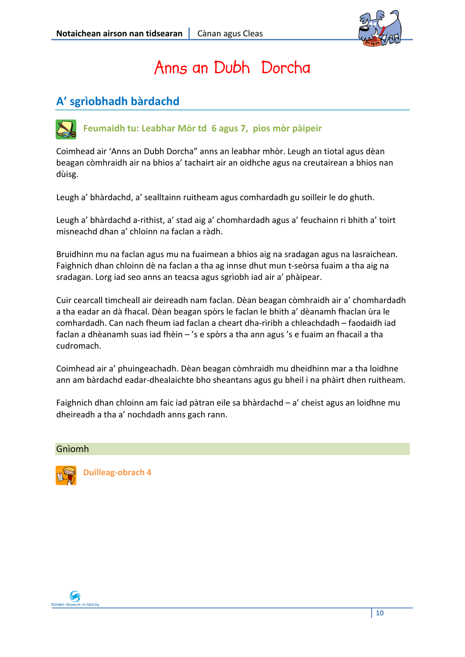

## Anns an Dubh Dorcha

### **A' sgrìobhadh bàrdachd**



Coimhead air 'Anns an Dubh Dorcha" anns an leabhar mhòr. Leugh an tiotal agus dèan beagan còmhraidh air na bhios a' tachairt air an oidhche agus na creutairean a bhios nan dùisg.

Leugh a' bhàrdachd, a' sealltainn ruitheam agus comhardadh gu soilleir le do ghuth.

Leugh a' bhàrdachd a‐rithist, a' stad aig a' chomhardadh agus a' feuchainn ri bhith a' toirt misneachd dhan a' chloinn na faclan a ràdh.

Bruidhinn mu na faclan agus mu na fuaimean a bhios aig na sradagan agus na lasraichean. Faighnich dhan chloinn dè na faclan a tha ag innse dhut mun t‐seòrsa fuaim a tha aig na sradagan. Lorg iad seo anns an teacsa agus sgrìobh iad air a' phàipear.

Cuir cearcall timcheall air deireadh nam faclan. Dèan beagan còmhraidh air a' chomhardadh a tha eadar an dà fhacal. Dèan beagan spòrs le faclan le bhith a' dèanamh fhaclan ùra le comhardadh. Can nach fheum iad faclan a cheart dha‐rìribh a chleachdadh – faodaidh iad faclan a dhèanamh suas iad fhèin – 's e spòrs a tha ann agus 's e fuaim an fhacail a tha cudromach.

Coimhead air a' phuingeachadh. Dèan beagan còmhraidh mu dheidhinn mar a tha loidhne ann am bàrdachd eadar‐dhealaichte bho sheantans agus gu bheil i na phàirt dhen ruitheam.

Faighnich dhan chloinn am faic iad pàtran eile sa bhàrdachd – a' cheist agus an loidhne mu dheireadh a tha a' nochdadh anns gach rann.

### Gnìomh



**Duilleag‐obrach 4**

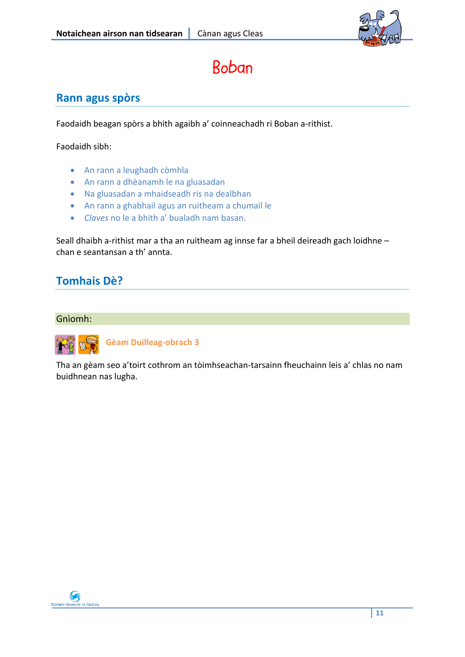

## Boban

### **Rann agus spòrs**

Faodaidh beagan spòrs a bhith agaibh a' coinneachadh ri Boban a‐rithist.

Faodaidh sibh:

- An rann a leughadh còmhla
- An rann a dhèanamh le na gluasadan
- Na gluasadan a mhaidseadh ris na dealbhan
- An rann a ghabhail agus an ruitheam a chumail le
- *Claves* no le a bhith a' bualadh nam basan.

Seall dhaibh a-rithist mar a tha an ruitheam ag innse far a bheil deireadh gach loidhne chan e seantansan a th' annta.

### **Tomhais Dè?**

#### Gnìomh:



**Gèam Duilleag‐obrach 3**

Tha an gèam seo a'toirt cothrom an tòimhseachan‐tarsainn fheuchainn leis a' chlas no nam buidhnean nas lugha.

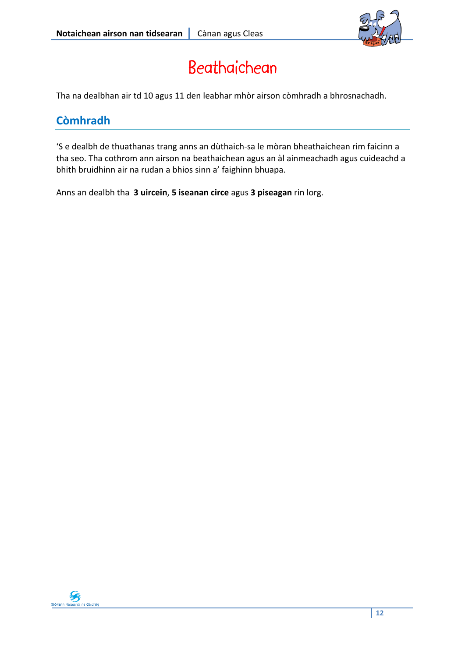

## Beathaichean

Tha na dealbhan air td 10 agus 11 den leabhar mhòr airson còmhradh a bhrosnachadh.

### **Còmhradh**

'S e dealbh de thuathanas trang anns an dùthaich‐sa le mòran bheathaichean rim faicinn a tha seo. Tha cothrom ann airson na beathaichean agus an àl ainmeachadh agus cuideachd a bhith bruidhinn air na rudan a bhios sinn a' faighinn bhuapa.

Anns an dealbh tha **3 uircein**, **5 iseanan circe** agus **3 piseagan** rin lorg.

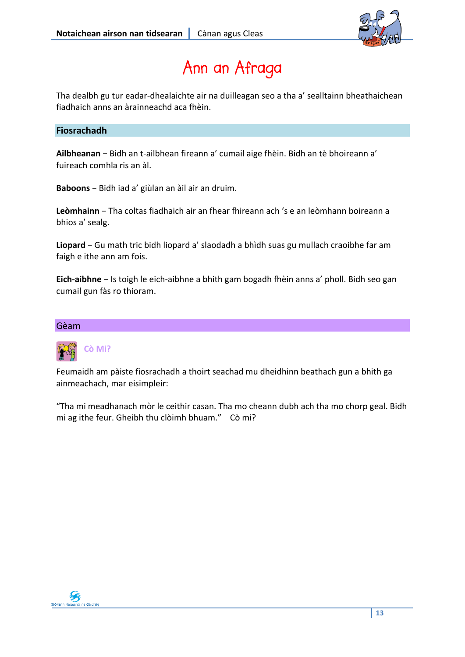

## Ann an Afraga

Tha dealbh gu tur eadar‐dhealaichte air na duilleagan seo a tha a' sealltainn bheathaichean fiadhaich anns an àrainneachd aca fhèin.

### **Fiosrachadh**

**Ailbheanan** − Bidh an t‐ailbhean fireann a' cumail aige fhèin. Bidh an tè bhoireann a' fuireach comhla ris an àl.

**Baboons** − Bidh iad a' giùlan an àil air an druim.

**Leòmhainn** − Tha coltas fiadhaich air an fhear fhireann ach 's e an leòmhann boireann a bhios a' sealg.

**Liopard** − Gu math tric bidh liopard a' slaodadh a bhìdh suas gu mullach craoibhe far am faigh e ithe ann am fois.

**Eich‐aibhne** − Is toigh le eich‐aibhne a bhith gam bogadh fhèin anns a' pholl. Bidh seo gan cumail gun fàs ro thioram.

#### Gèam



Feumaidh am pàiste fiosrachadh a thoirt seachad mu dheidhinn beathach gun a bhith ga ainmeachach, mar eisimpleir:

"Tha mi meadhanach mòr le ceithir casan. Tha mo cheann dubh ach tha mo chorp geal. Bidh mi ag ithe feur. Gheibh thu clòimh bhuam." Cò mi?

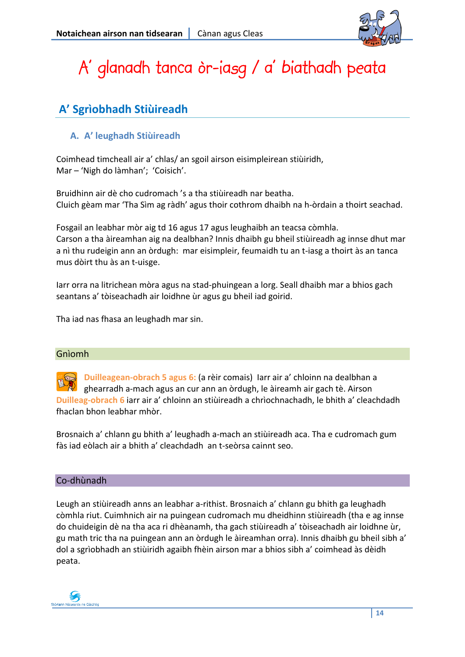

## A' glanadh tanca òr-iasg / a' biathadh peata

### **A' Sgrìobhadh Stiùireadh**

### **A. A' leughadh Stiùireadh**

Coimhead timcheall air a' chlas/ an sgoil airson eisimpleirean stiùiridh, Mar – 'Nigh do làmhan'; 'Coisich'.

Bruidhinn air dè cho cudromach 's a tha stiùireadh nar beatha. Cluich gèam mar 'Tha Sìm ag ràdh' agus thoir cothrom dhaibh na h‐òrdain a thoirt seachad.

Fosgail an leabhar mòr aig td 16 agus 17 agus leughaibh an teacsa còmhla. Carson a tha àireamhan aig na dealbhan? Innis dhaibh gu bheil stiùireadh ag innse dhut mar a nì thu rudeigin ann an òrdugh: mar eisimpleir, feumaidh tu an t-iasg a thoirt às an tanca mus dòirt thu às an t‐uisge.

Iarr orra na litrichean mòra agus na stad‐phuingean a lorg. Seall dhaibh mar a bhios gach seantans a' tòiseachadh air loidhne ùr agus gu bheil iad goirid.

Tha iad nas fhasa an leughadh mar sin.

### Gnìomh

**Duilleagean‐obrach 5 agus 6:** (a rèir comais) Iarr air a' chloinn na dealbhan a ghearradh a‐mach agus an cur ann an òrdugh, le àireamh air gach tè. Airson **Duilleag‐obrach 6** iarr air a' chloinn an stiùireadh a chrìochnachadh, le bhith a' cleachdadh fhaclan bhon leabhar mhòr.

Brosnaich a' chlann gu bhith a' leughadh a‐mach an stiùireadh aca. Tha e cudromach gum fàs iad eòlach air a bhith a' cleachdadh an t‐seòrsa cainnt seo.

### Co‐dhùnadh

Leugh an stiùireadh anns an leabhar a‐rithist. Brosnaich a' chlann gu bhith ga leughadh còmhla riut. Cuimhnich air na puingean cudromach mu dheidhinn stiùireadh (tha e ag innse do chuideigin dè na tha aca ri dhèanamh, tha gach stiùireadh a' tòiseachadh air loidhne ùr, gu math tric tha na puingean ann an òrdugh le àireamhan orra). Innis dhaibh gu bheil sibh a' dol a sgrìobhadh an stiùiridh agaibh fhèin airson mar a bhios sibh a' coimhead às dèidh peata.

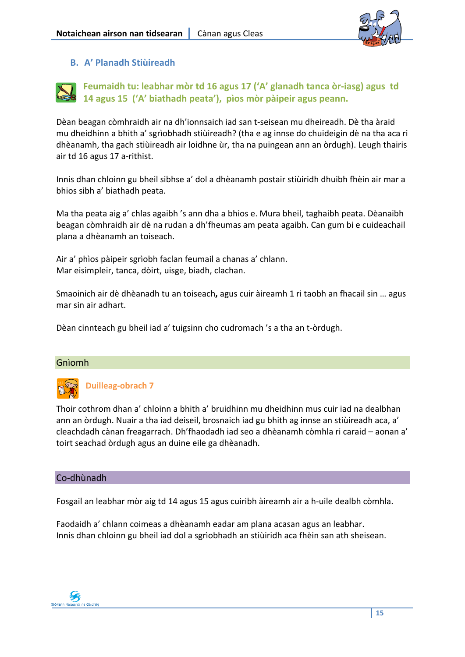

### **B. A' Planadh Stiùireadh**



Dèan beagan còmhraidh air na dh'ionnsaich iad san t‐seisean mu dheireadh. Dè tha àraid mu dheidhinn a bhith a' sgrìobhadh stiùireadh? (tha e ag innse do chuideigin dè na tha aca ri dhèanamh, tha gach stiùireadh air loidhne ùr, tha na puingean ann an òrdugh). Leugh thairis air td 16 agus 17 a‐rithist.

Innis dhan chloinn gu bheil sibhse a' dol a dhèanamh postair stiùiridh dhuibh fhèin air mar a bhios sibh a' biathadh peata.

Ma tha peata aig a' chlas agaibh 's ann dha a bhios e. Mura bheil, taghaibh peata. Dèanaibh beagan còmhraidh air dè na rudan a dh'fheumas am peata agaibh. Can gum bi e cuideachail plana a dhèanamh an toiseach.

Air a' phìos pàipeir sgrìobh faclan feumail a chanas a' chlann. Mar eisimpleir, tanca, dòirt, uisge, biadh, clachan.

Smaoinich air dè dhèanadh tu an toiseach**,** agus cuir àireamh 1 ri taobh an fhacail sin … agus mar sin air adhart.

Dèan cinnteach gu bheil iad a' tuigsinn cho cudromach 's a tha an t‐òrdugh.

### Gnìomh



### **Duilleag‐obrach 7**

Thoir cothrom dhan a' chloinn a bhith a' bruidhinn mu dheidhinn mus cuir iad na dealbhan ann an òrdugh. Nuair a tha iad deiseil, brosnaich iad gu bhith ag innse an stiùireadh aca, a' cleachdadh cànan freagarrach. Dh'fhaodadh iad seo a dhèanamh còmhla ri caraid – aonan a' toirt seachad òrdugh agus an duine eile ga dhèanadh.

### Co‐dhùnadh

Fosgail an leabhar mòr aig td 14 agus 15 agus cuiribh àireamh air a h‐uile dealbh còmhla.

Faodaidh a' chlann coimeas a dhèanamh eadar am plana acasan agus an leabhar. Innis dhan chloinn gu bheil iad dol a sgrìobhadh an stiùiridh aca fhèin san ath sheisean.

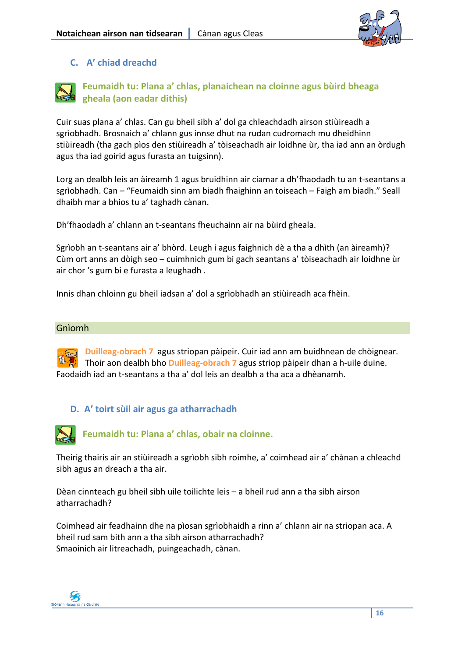

### **C. A' chiad dreachd**



**Feumaidh tu: Plana a' chlas, planaichean na cloinne agus bùird bheaga gheala (aon eadar dithis)**

Cuir suas plana a' chlas. Can gu bheil sibh a' dol ga chleachdadh airson stiùireadh a sgrìobhadh. Brosnaich a' chlann gus innse dhut na rudan cudromach mu dheidhinn stiùireadh (tha gach pìos den stiùireadh a' tòiseachadh air loidhne ùr, tha iad ann an òrdugh agus tha iad goirid agus furasta an tuigsinn).

Lorg an dealbh leis an àireamh 1 agus bruidhinn air ciamar a dh'fhaodadh tu an t‐seantans a sgrìobhadh. Can – "Feumaidh sinn am biadh fhaighinn an toiseach – Faigh am biadh." Seall dhaibh mar a bhios tu a' taghadh cànan.

Dh'fhaodadh a' chlann an t‐seantans fheuchainn air na bùird gheala.

Sgrìobh an t‐seantans air a' bhòrd. Leugh i agus faighnich dè a tha a dhìth (an àireamh)? Cùm ort anns an dòigh seo – cuimhnich gum bi gach seantans a' tòiseachadh air loidhne ùr air chor 's gum bi e furasta a leughadh .

Innis dhan chloinn gu bheil iadsan a' dol a sgrìobhadh an stiùireadh aca fhèin.

#### Gnìomh

**Duilleag‐obrach 7** agus striopan pàipeir. Cuir iad ann am buidhnean de chòignear. Thoir aon dealbh bho **Duilleag‐obrach 7** agus striop pàipeir dhan a h‐uile duine. Faodaidh iad an t‐seantans a tha a' dol leis an dealbh a tha aca a dhèanamh.

### **D. A' toirt sùil air agus ga atharrachadh**



**Feumaidh tu: Plana a' chlas, obair na cloinne.**

Theirig thairis air an stiùireadh a sgrìobh sibh roimhe, a' coimhead air a' chànan a chleachd sibh agus an dreach a tha air.

Dèan cinnteach gu bheil sibh uile toilichte leis – a bheil rud ann a tha sibh airson atharrachadh?

Coimhead air feadhainn dhe na pìosan sgrìobhaidh a rinn a' chlann air na striopan aca. A bheil rud sam bith ann a tha sibh airson atharrachadh? Smaoinich air litreachadh, puingeachadh, cànan.

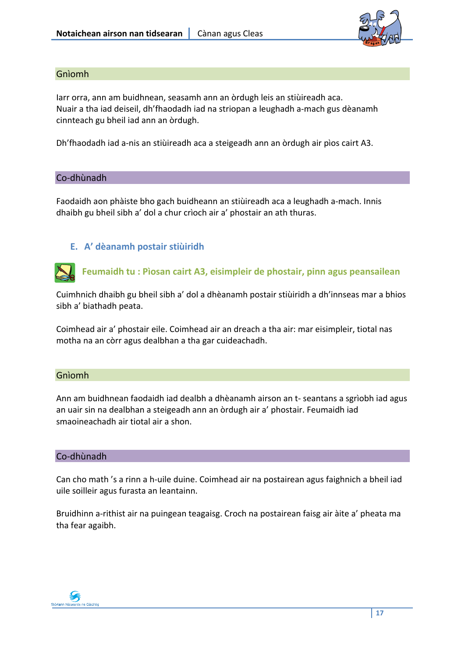

### Gnìomh

Iarr orra, ann am buidhnean, seasamh ann an òrdugh leis an stiùireadh aca. Nuair a tha iad deiseil, dh'fhaodadh iad na striopan a leughadh a‐mach gus dèanamh cinnteach gu bheil iad ann an òrdugh.

Dh'fhaodadh iad a‐nis an stiùireadh aca a steigeadh ann an òrdugh air pìos cairt A3.

#### Co‐dhùnadh

Faodaidh aon phàiste bho gach buidheann an stiùireadh aca a leughadh a‐mach. Innis dhaibh gu bheil sibh a' dol a chur crìoch air a' phostair an ath thuras.

### **E. A' dèanamh postair stiùiridh**

**Feumaidh tu : Pìosan cairt A3, eisimpleir de phostair, pinn agus peansailean**

Cuimhnich dhaibh gu bheil sibh a' dol a dhèanamh postair stiùiridh a dh'innseas mar a bhios sibh a' biathadh peata.

Coimhead air a' phostair eile. Coimhead air an dreach a tha air: mar eisimpleir, tiotal nas motha na an còrr agus dealbhan a tha gar cuideachadh.

#### Gnìomh

Ann am buidhnean faodaidh iad dealbh a dhèanamh airson an t‐ seantans a sgrìobh iad agus an uair sin na dealbhan a steigeadh ann an òrdugh air a' phostair. Feumaidh iad smaoineachadh air tiotal air a shon.

#### Co‐dhùnadh

Can cho math 's a rinn a h‐uile duine. Coimhead air na postairean agus faighnich a bheil iad uile soilleir agus furasta an leantainn.

Bruidhinn a‐rithist air na puingean teagaisg. Croch na postairean faisg air àite a' pheata ma tha fear agaibh.

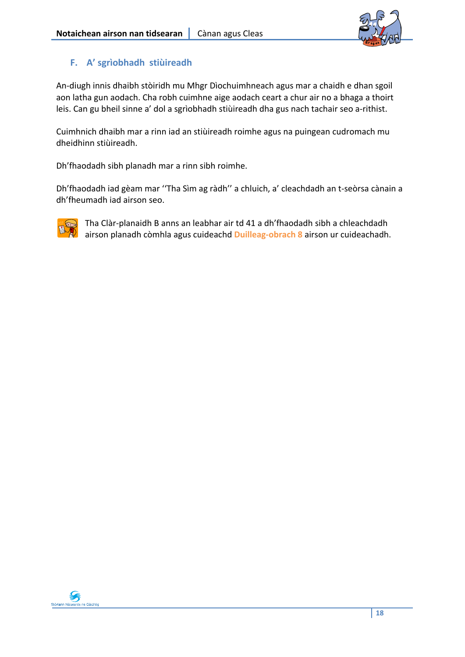

### **F. A' sgrìobhadh stiùireadh**

An‐diugh innis dhaibh stòiridh mu Mhgr Dìochuimhneach agus mar a chaidh e dhan sgoil aon latha gun aodach. Cha robh cuimhne aige aodach ceart a chur air no a bhaga a thoirt leis. Can gu bheil sinne a' dol a sgrìobhadh stiùireadh dha gus nach tachair seo a‐rithist.

Cuimhnich dhaibh mar a rinn iad an stiùireadh roimhe agus na puingean cudromach mu dheidhinn stiùireadh.

Dh'fhaodadh sibh planadh mar a rinn sibh roimhe.

Dh'fhaodadh iad gèam mar ''Tha Sìm ag ràdh'' a chluich, a' cleachdadh an t‐seòrsa cànain a dh'fheumadh iad airson seo.



Tha Clàr‐planaidh B anns an leabhar air td 41 a dh'fhaodadh sibh a chleachdadh airson planadh còmhla agus cuideachd **Duilleag‐obrach 8** airson ur cuideachadh.

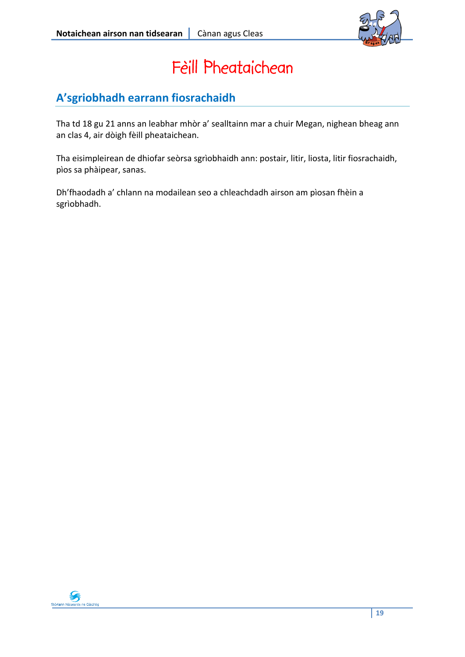

## Fèill Pheataichean

### **A'sgriobhadh earrann fiosrachaidh**

Tha td 18 gu 21 anns an leabhar mhòr a' sealltainn mar a chuir Megan, nighean bheag ann an clas 4, air dòigh fèill pheataichean.

Tha eisimpleirean de dhiofar seòrsa sgrìobhaidh ann: postair, litir, liosta, litir fiosrachaidh, pìos sa phàipear, sanas.

Dh'fhaodadh a' chlann na modailean seo a chleachdadh airson am pìosan fhèin a sgrìobhadh.

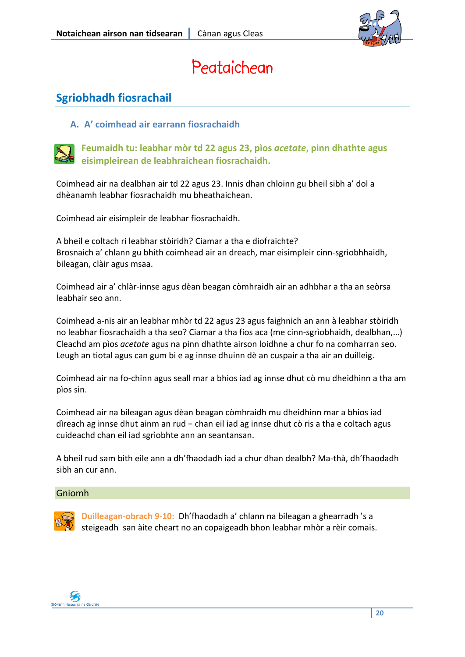

## Peataichean

### **Sgriobhadh fiosrachail**

**A. A' coimhead air earrann fiosrachaidh**



**Feumaidh tu: leabhar mòr td 22 agus 23, pìos** *acetate***, pinn dhathte agus eisimpleirean de leabhraichean fiosrachaidh.**

Coimhead air na dealbhan air td 22 agus 23. Innis dhan chloinn gu bheil sibh a' dol a dhèanamh leabhar fiosrachaidh mu bheathaichean.

Coimhead air eisimpleir de leabhar fiosrachaidh.

A bheil e coltach ri leabhar stòiridh? Ciamar a tha e diofraichte? Brosnaich a' chlann gu bhith coimhead air an dreach, mar eisimpleir cinn‐sgrìobhhaidh, bileagan, clàir agus msaa.

Coimhead air a' chlàr‐innse agus dèan beagan còmhraidh air an adhbhar a tha an seòrsa leabhair seo ann.

Coimhead a‐nis air an leabhar mhòr td 22 agus 23 agus faighnich an ann à leabhar stòiridh no leabhar fiosrachaidh a tha seo? Ciamar a tha fios aca (me cinn‐sgrìobhaidh, dealbhan,…) Cleachd am pìos *acetate* agus na pinn dhathte airson loidhne a chur fo na comharran seo. Leugh an tiotal agus can gum bi e ag innse dhuinn dè an cuspair a tha air an duilleig.

Coimhead air na fo‐chinn agus seall mar a bhios iad ag innse dhut cò mu dheidhinn a tha am pìos sin.

Coimhead air na bileagan agus dèan beagan còmhraidh mu dheidhinn mar a bhios iad dìreach ag innse dhut ainm an rud − chan eil iad ag innse dhut cò ris a tha e coltach agus cuideachd chan eil iad sgrìobhte ann an seantansan.

A bheil rud sam bith eile ann a dh'fhaodadh iad a chur dhan dealbh? Ma‐thà, dh'fhaodadh sibh an cur ann.

### Gniomh



**Duilleagan‐obrach 9‐10:** Dh'fhaodadh a' chlann na bileagan a ghearradh 's a steigeadh san àite cheart no an copaigeadh bhon leabhar mhòr a rèir comais.

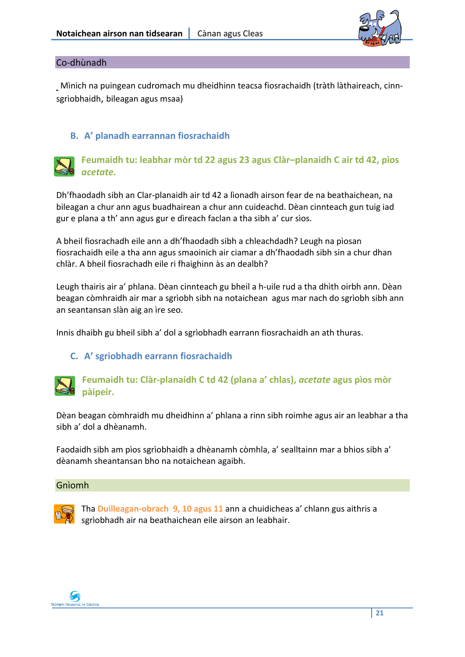

### Co‐dhùnadh

Mìnich na puingean cudromach mu dheidhinn teacsa fiosrachaidh (tràth làthaireach, cinnsgrìobhaidh, bileagan agus msaa)

### **B. A' planadh earrannan fiosrachaidh**



### **Feumaidh tu: leabhar mòr td 22 agus 23 agus Clàr–planaidh C air td 42, pìos** *acetate.*

Dh'fhaodadh sibh an Clar‐planaidh air td 42 a lìonadh airson fear de na beathaichean, na bileagan a chur ann agus buadhairean a chur ann cuideachd. Dèan cinnteach gun tuig iad gur e plana a th' ann agus gur e dìreach faclan a tha sibh a' cur sìos.

A bheil fiosrachadh eile ann a dh'fhaodadh sibh a chleachdadh? Leugh na pìosan fiosrachaidh eile a tha ann agus smaoinich air ciamar a dh'fhaodadh sibh sin a chur dhan chlàr. A bheil fiosrachadh eile ri fhaighinn às an dealbh?

Leugh thairis air a' phlana. Dèan cinnteach gu bheil a h‐uile rud a tha dhìth oirbh ann. Dèan beagan còmhraidh air mar a sgrìobh sibh na notaichean agus mar nach do sgrìobh sibh ann an seantansan slàn aig an ìre seo.

Innis dhaibh gu bheil sibh a' dol a sgrìobhadh earrann fiosrachaidh an ath thuras.

### **C. A' sgriobhadh earrann fiosrachaidh**



### **Feumaidh tu: Clàr‐planaidh C td 42 (plana a' chlas),** *acetate* **agus pìos mòr pàipeir.**

Dèan beagan còmhraidh mu dheidhinn a' phlana a rinn sibh roimhe agus air an leabhar a tha sibh a' dol a dhèanamh.

Faodaidh sibh am pìos sgrìobhaidh a dhèanamh còmhla, a' sealltainn mar a bhios sibh a' dèanamh sheantansan bho na notaichean agaibh.

#### Gnìomh



Tha **Duilleagan‐obrach 9, 10 agus 11** ann a chuidicheas a' chlann gus aithris a sgrìobhadh air na beathaichean eile airson an leabhair.

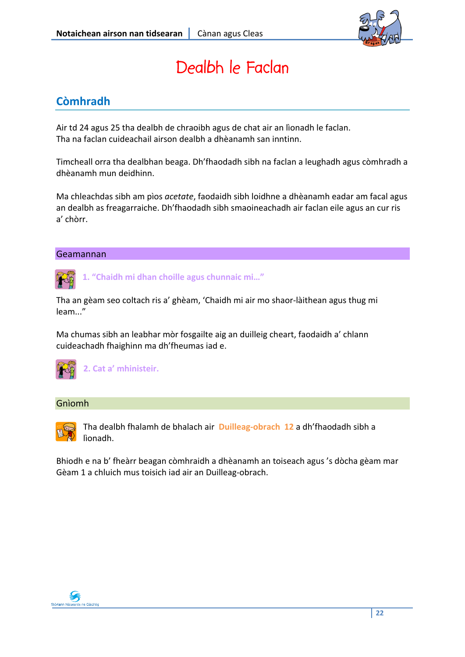

## Dealbh le Faclan

### **Còmhradh**

Air td 24 agus 25 tha dealbh de chraoibh agus de chat air an lìonadh le faclan. Tha na faclan cuideachail airson dealbh a dhèanamh san inntinn.

Timcheall orra tha dealbhan beaga. Dh'fhaodadh sibh na faclan a leughadh agus còmhradh a dhèanamh mun deidhinn.

Ma chleachdas sibh am pìos *acetate*, faodaidh sibh loidhne a dhèanamh eadar am facal agus an dealbh as freagarraiche. Dh'fhaodadh sibh smaoineachadh air faclan eile agus an cur ris a' chòrr.

### Geamannan



**1. "Chaidh mi dhan choille agus chunnaic mi…"**

Tha an gèam seo coltach ris a' ghèam, 'Chaidh mi air mo shaor‐làithean agus thug mi leam..."

Ma chumas sibh an leabhar mòr fosgailte aig an duilleig cheart, faodaidh a' chlann cuideachadh fhaighinn ma dh'fheumas iad e.



**2. Cat a' mhinisteir.**

### Gnìomh



Tha dealbh fhalamh de bhalach air **Duilleag‐obrach 12** a dh'fhaodadh sibh a lìonadh.

Bhiodh e na b' fheàrr beagan còmhraidh a dhèanamh an toiseach agus 's dòcha gèam mar Gèam <sup>1</sup> <sup>a</sup> chluich mus toisich iad air an Duilleag‐obrach.

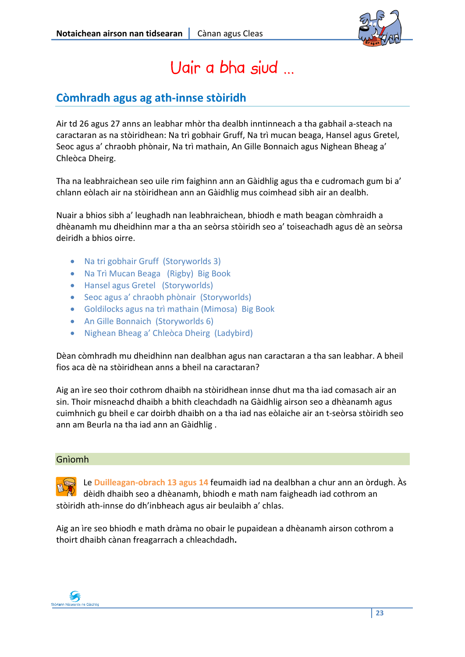

## Uair a bha siud …

### **Còmhradh agus ag ath‐innse stòiridh**

Air td 26 agus 27 anns an leabhar mhòr tha dealbh inntinneach a tha gabhail a‐steach na caractaran as na stòiridhean: Na trì gobhair Gruff, Na trì mucan beaga, Hansel agus Gretel, Seoc agus a' chraobh phònair, Na trì mathain, An Gille Bonnaich agus Nighean Bheag a' Chleòca Dheirg.

Tha na leabhraichean seo uile rim faighinn ann an Gàidhlig agus tha e cudromach gum bi a' chlann eòlach air na stòiridhean ann an Gàidhlig mus coimhead sibh air an dealbh.

Nuair a bhios sibh a' leughadh nan leabhraichean, bhiodh e math beagan còmhraidh a dhèanamh mu dheidhinn mar a tha an seòrsa stòiridh seo a' toiseachadh agus dè an seòrsa deiridh a bhios oirre.

- Na tri gobhair Gruff (Storyworlds 3)
- Na Trì Mucan Beaga (Rigby) Big Book
- Hansel agus Gretel (Storyworlds)
- Seoc agus a' chraobh phònair (Storyworlds)
- Goldilocks agus na trì mathain (Mimosa) Big Book
- An Gille Bonnaich (Storyworlds 6)
- Nighean Bheag a' Chleòca Dheirg (Ladybird)

Dèan còmhradh mu dheidhinn nan dealbhan agus nan caractaran a tha san leabhar. A bheil fios aca dè na stòiridhean anns a bheil na caractaran?

Aig an ìre seo thoir cothrom dhaibh na stòiridhean innse dhut ma tha iad comasach air an sin. Thoir misneachd dhaibh a bhith cleachdadh na Gàidhlig airson seo a dhèanamh agus cuimhnich gu bheil e car doirbh dhaibh on a tha iad nas eòlaiche air an t‐seòrsa stòiridh seo ann am Beurla na tha iad ann an Gàidhlig .

### Gnìomh

Le **Duilleagan‐obrach 13 agus 14** feumaidh iad na dealbhan a chur ann an òrdugh. Às dèidh dhaibh seo a dhèanamh, bhiodh e math nam faigheadh iad cothrom an stòiridh ath‐innse do dh'inbheach agus air beulaibh a' chlas.

Aig an ìre seo bhiodh e math dràma no obair le pupaidean a dhèanamh airson cothrom a thoirt dhaibh cànan freagarrach a chleachdadh**.**

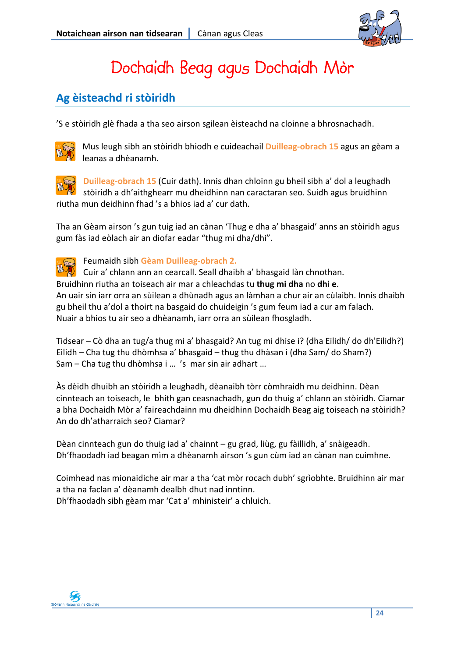

## Dochaidh Beag agus Dochaidh Mòr

### **Ag èisteachd ri stòiridh**

'S e stòiridh glè fhada a tha seo airson sgilean èisteachd na cloinne a bhrosnachadh.



Mus leugh sibh an stòiridh bhiodh e cuideachail **Duilleag‐obrach 15** agus an gèam a leanas a dhèanamh.



**Duilleag‐obrach 15** (Cuir dath). Innis dhan chloinn gu bheil sibh a' dol a leughadh stòiridh a dh'aithghearr mu dheidhinn nan caractaran seo. Suidh agus bruidhinn riutha mun deidhinn fhad 's a bhios iad a' cur dath.

Tha an Gèam airson 's gun tuig iad an cànan 'Thug e dha a' bhasgaid' anns an stòiridh agus gum fàs iad eòlach air an diofar eadar "thug mi dha/dhi".



Feumaidh sibh **Gèam Duilleag‐obrach 2.**

Cuir a' chlann ann an cearcall. Seall dhaibh a' bhasgaid làn chnothan. Bruidhinn riutha an toiseach air mar a chleachdas tu **thug mi dha** no **dhi e**. An uair sin iarr orra an sùilean a dhùnadh agus an làmhan a chur air an cùlaibh. Innis dhaibh gu bheil thu a'dol a thoirt na basgaid do chuideigin 's gum feum iad a cur am falach. Nuair a bhios tu air seo a dhèanamh, iarr orra an sùilean fhosgladh.

Tidsear – Cò dha an tug/a thug mi a' bhasgaid? An tug mi dhise i? (dha Eilidh/ do dh'Eilidh?) Eilidh – Cha tug thu dhòmhsa a' bhasgaid – thug thu dhàsan i (dha Sam/ do Sham?) Sam – Cha tug thu dhòmhsa i … 's mar sin air adhart …

Às dèidh dhuibh an stòiridh a leughadh, dèanaibh tòrr còmhraidh mu deidhinn. Dèan cinnteach an toiseach, le bhith gan ceasnachadh, gun do thuig a' chlann an stòiridh. Ciamar a bha Dochaidh Mòr a' faireachdainn mu dheidhinn Dochaidh Beag aig toiseach na stòiridh? An do dh'atharraich seo? Ciamar?

Dèan cinnteach gun do thuig iad a' chainnt – gu grad, liùg, gu fàillidh, a' snàigeadh. Dh'fhaodadh iad beagan mìm a dhèanamh airson 's gun cùm iad an cànan nan cuimhne.

Coimhead nas mionaidiche air mar a tha 'cat mòr rocach dubh' sgrìobhte. Bruidhinn air mar a tha na faclan a' dèanamh dealbh dhut nad inntinn. Dh'fhaodadh sibh gèam mar 'Cat a' mhinisteir' a chluich.

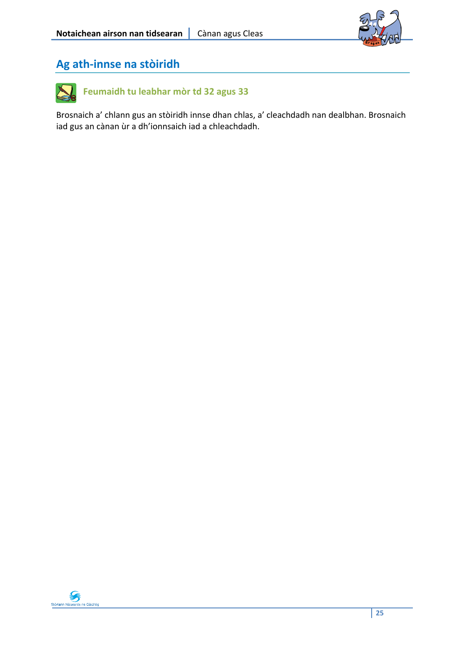

### **Ag ath‐innse na stòiridh**



Brosnaich a' chlann gus an stòiridh innse dhan chlas, a' cleachdadh nan dealbhan. Brosnaich iad gus an cànan ùr a dh'ionnsaich iad a chleachdadh.

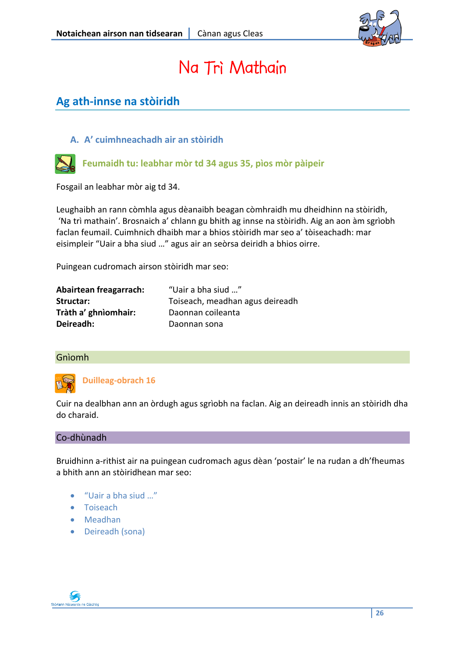

## Na Trì Mathain

### **Ag ath‐innse na stòiridh**

### **A. A' cuimhneachadh air an stòiridh**



**Feumaidh tu: leabhar mòr td 34 agus 35, pìos mòr pàipeir**

Fosgail an leabhar mòr aig td 34.

Leughaibh an rann còmhla agus dèanaibh beagan còmhraidh mu dheidhinn na stòiridh, 'Na trì mathain'. Brosnaich a' chlann gu bhith ag innse na stòiridh. Aig an aon àm sgrìobh faclan feumail. Cuimhnich dhaibh mar a bhios stòiridh mar seo a' tòiseachadh: mar eisimpleir "Uair a bha siud …" agus air an seòrsa deiridh a bhios oirre.

Puingean cudromach airson stòiridh mar seo:

| Abairtean freagarrach: | "Uair a bha siud "              |
|------------------------|---------------------------------|
| Structar:              | Toiseach, meadhan agus deireadh |
| Tràth a' ghnìomhair:   | Daonnan coileanta               |
| Deireadh:              | Daonnan sona                    |

#### Gnìomh



**Duilleag‐obrach 16**

Cuir na dealbhan ann an òrdugh agus sgrìobh na faclan. Aig an deireadh innis an stòiridh dha do charaid.

#### Co‐dhùnadh

Bruidhinn a‐rithist air na puingean cudromach agus dèan 'postair' le na rudan a dh'fheumas a bhith ann an stòiridhean mar seo:

- "Uair a bha siud …"
- Toiseach
- Meadhan
- Deireadh (sona)

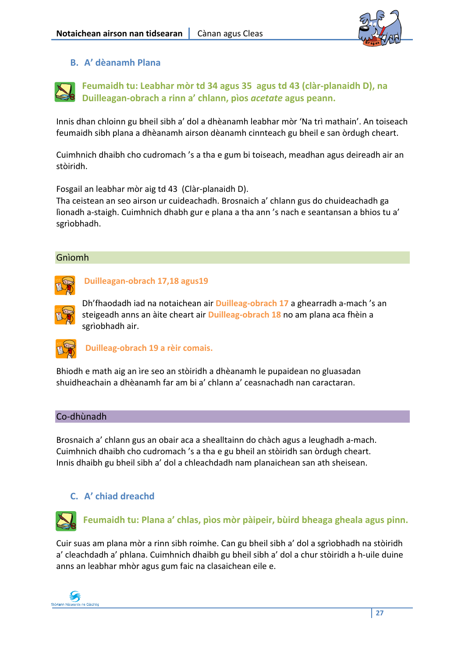

### **B. A' dèanamh Plana**

**Feumaidh tu: Leabhar mòr td 34 agus 35 agus td 43 (clàr‐planaidh D), na Duilleagan‐obrach a rinn a' chlann, pìos** *acetate* **agus peann.**

Innis dhan chloinn gu bheil sibh a' dol a dhèanamh leabhar mòr 'Na trì mathain'. An toiseach feumaidh sibh plana a dhèanamh airson dèanamh cinnteach gu bheil e san òrdugh cheart.

Cuimhnich dhaibh cho cudromach 's a tha e gum bi toiseach, meadhan agus deireadh air an stòiridh.

Fosgail an leabhar mòr aig td 43 (Clàr‐planaidh D).

Tha ceistean an seo airson ur cuideachadh. Brosnaich a' chlann gus do chuideachadh ga lìonadh a‐staigh. Cuimhnich dhabh gur e plana a tha ann 's nach e seantansan a bhios tu a' sgrìobhadh.

### Gnìomh



**Duilleagan‐obrach 17,18 agus19**

Dh'fhaodadh iad na notaichean air **Duilleag‐obrach 17** a ghearradh a‐mach 's an steigeadh anns an àite cheart air **Duilleag‐obrach 18** no am plana aca fhèin a sgrìobhadh air.



**Duilleag‐obrach 19 a rèir comais.**

Bhiodh e math aig an ìre seo an stòiridh a dhèanamh le pupaidean no gluasadan shuidheachain a dhèanamh far am bi a' chlann a' ceasnachadh nan caractaran.

#### Co‐dhùnadh

Brosnaich a' chlann gus an obair aca a shealltainn do chàch agus a leughadh a‐mach. Cuimhnich dhaibh cho cudromach 's a tha e gu bheil an stòiridh san òrdugh cheart. Innis dhaibh gu bheil sibh a' dol a chleachdadh nam planaichean san ath sheisean.

### **C. A' chiad dreachd**



**Feumaidh tu: Plana a' chlas, pìos mòr pàipeir, bùird bheaga gheala agus pinn.**

Cuir suas am plana mòr a rinn sibh roimhe. Can gu bheil sibh a' dol a sgrìobhadh na stòiridh a' cleachdadh a' phlana. Cuimhnich dhaibh gu bheil sibh a' dol a chur stòiridh a h-uile duine anns an leabhar mhòr agus gum faic na clasaichean eile e.

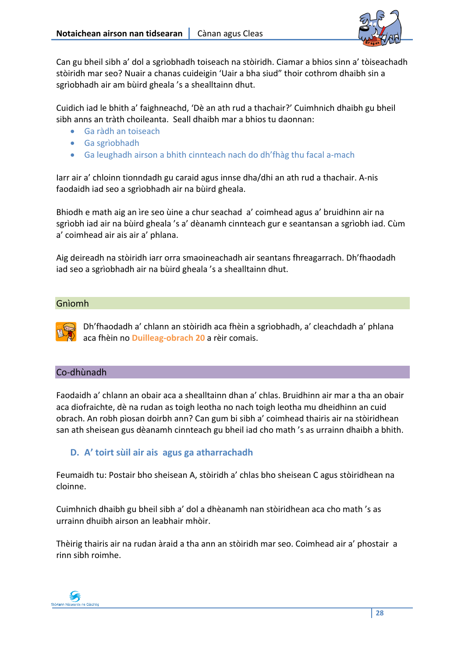

Can gu bheil sibh a' dol a sgrìobhadh toiseach na stòiridh. Ciamar a bhios sinn a' tòiseachadh stòiridh mar seo? Nuair a chanas cuideigin 'Uair a bha siud" thoir cothrom dhaibh sin a sgrìobhadh air am bùird gheala 's a shealltainn dhut.

Cuidich iad le bhith a' faighneachd, 'Dè an ath rud a thachair?' Cuimhnich dhaibh gu bheil sibh anns an tràth choileanta. Seall dhaibh mar a bhios tu daonnan:

- Ga ràdh an toiseach
- Ga sgrìobhadh
- Ga leughadh airson a bhith cinnteach nach do dh'fhàg thu facal a‐mach

Iarr air a' chloinn tionndadh gu caraid agus innse dha/dhi an ath rud a thachair. A‐nis faodaidh iad seo a sgrìobhadh air na bùird gheala.

Bhiodh e math aig an ìre seo ùine a chur seachad a' coimhead agus a' bruidhinn air na sgrìobh iad air na bùird gheala 's a' dèanamh cinnteach gur e seantansan a sgrìobh iad. Cùm a' coimhead air ais air a' phlana.

Aig deireadh na stòiridh iarr orra smaoineachadh air seantans fhreagarrach. Dh'fhaodadh iad seo a sgrìobhadh air na bùird gheala 's a shealltainn dhut.

### Gnìomh



Dh'fhaodadh a' chlann an stòiridh aca fhèin a sgrìobhadh, a' cleachdadh a' phlana aca fhèin no **Duilleag‐obrach 20** a rèir comais.

### Co‐dhùnadh

Faodaidh a' chlann an obair aca a shealltainn dhan a' chlas. Bruidhinn air mar a tha an obair aca diofraichte, dè na rudan as toigh leotha no nach toigh leotha mu dheidhinn an cuid obrach. An robh pìosan doirbh ann? Can gum bi sibh a' coimhead thairis air na stòiridhean san ath sheisean gus dèanamh cinnteach gu bheil iad cho math 's as urrainn dhaibh a bhith.

### **D. A' toirt sùil air ais agus ga atharrachadh**

Feumaidh tu: Postair bho sheisean A, stòiridh a' chlas bho sheisean C agus stòiridhean na cloinne.

Cuimhnich dhaibh gu bheil sibh a' dol a dhèanamh nan stòiridhean aca cho math 's as urrainn dhuibh airson an leabhair mhòir.

Thèirig thairis air na rudan àraid a tha ann an stòiridh mar seo. Coimhead air a' phostair a rinn sibh roimhe.

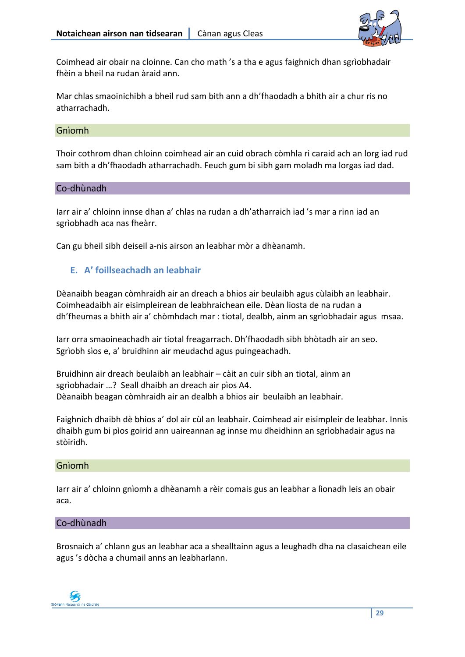

Coimhead air obair na cloinne. Can cho math 's a tha e agus faighnich dhan sgrìobhadair fhèin a bheil na rudan àraid ann.

Mar chlas smaoinichibh a bheil rud sam bith ann a dh'fhaodadh a bhith air a chur ris no atharrachadh.

### Gnìomh

Thoir cothrom dhan chloinn coimhead air an cuid obrach còmhla ri caraid ach an lorg iad rud sam bith a dh'fhaodadh atharrachadh. Feuch gum bi sibh gam moladh ma lorgas iad dad.

### Co‐dhùnadh

Iarr air a' chloinn innse dhan a' chlas na rudan a dh'atharraich iad 's mar a rinn iad an sgrìobhadh aca nas fheàrr.

Can gu bheil sibh deiseil a‐nis airson an leabhar mòr a dhèanamh.

### **E. A' foillseachadh an leabhair**

Dèanaibh beagan còmhraidh air an dreach a bhios air beulaibh agus cùlaibh an leabhair. Coimheadaibh air eisimpleirean de leabhraichean eile. Dèan liosta de na rudan a dh'fheumas a bhith air a' chòmhdach mar : tiotal, dealbh, ainm an sgrìobhadair agus msaa.

Iarr orra smaoineachadh air tiotal freagarrach. Dh'fhaodadh sibh bhòtadh air an seo. Sgrìobh sìos e, a' bruidhinn air meudachd agus puingeachadh.

Bruidhinn air dreach beulaibh an leabhair – càit an cuir sibh an tiotal, ainm an sgrìobhadair …? Seall dhaibh an dreach air pìos A4. Dèanaibh beagan còmhraidh air an dealbh a bhios air beulaibh an leabhair.

Faighnich dhaibh dè bhios a' dol air cùl an leabhair. Coimhead air eisimpleir de leabhar. Innis dhaibh gum bi pìos goirid ann uaireannan ag innse mu dheidhinn an sgrìobhadair agus na stòiridh.

### Gnìomh

Iarr air a' chloinn gnìomh a dhèanamh a rèir comais gus an leabhar a lìonadh leis an obair aca.

#### Co‐dhùnadh

Brosnaich a' chlann gus an leabhar aca a shealltainn agus a leughadh dha na clasaichean eile agus 's dòcha a chumail anns an leabharlann.

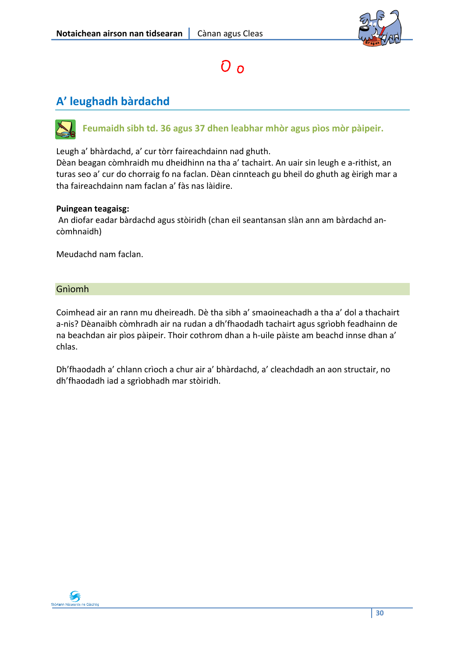

### O o

### **A' leughadh bàrdachd**

### **Feumaidh sibh td. 36 agus 37 dhen leabhar mhòr agus pìos mòr pàipeir.**

Leugh a' bhàrdachd, a' cur tòrr faireachdainn nad ghuth.

Dèan beagan còmhraidh mu dheidhinn na tha a' tachairt. An uair sin leugh e a‐rithist, an turas seo a' cur do chorraig fo na faclan. Dèan cinnteach gu bheil do ghuth ag èirigh mar a tha faireachdainn nam faclan a' fàs nas làidire.

#### **Puingean teagaisg:**

An diofar eadar bàrdachd agus stòiridh (chan eil seantansan slàn ann am bàrdachd an‐ còmhnaidh)

Meudachd nam faclan.

#### Gnìomh

Coimhead air an rann mu dheireadh. Dè tha sibh a' smaoineachadh a tha a' dol a thachairt a‐nis? Dèanaibh còmhradh air na rudan a dh'fhaodadh tachairt agus sgrìobh feadhainn de na beachdan air pìos pàipeir. Thoir cothrom dhan a h‐uile pàiste am beachd innse dhan a' chlas.

Dh'fhaodadh a' chlann crìoch a chur air a' bhàrdachd, a' cleachdadh an aon structair, no dh'fhaodadh iad a sgrìobhadh mar stòiridh.